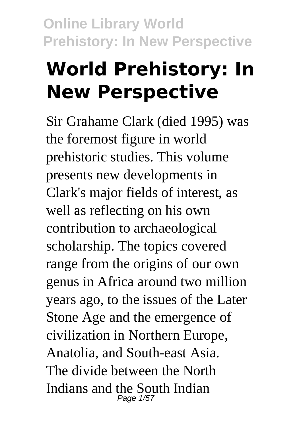# **World Prehistory: In New Perspective**

Sir Grahame Clark (died 1995) was the foremost figure in world prehistoric studies. This volume presents new developments in Clark's major fields of interest, as well as reflecting on his own contribution to archaeological scholarship. The topics covered range from the origins of our own genus in Africa around two million years ago, to the issues of the Later Stone Age and the emergence of civilization in Northern Europe, Anatolia, and South-east Asia. The divide between the North Indians and the South Indian Page 1/57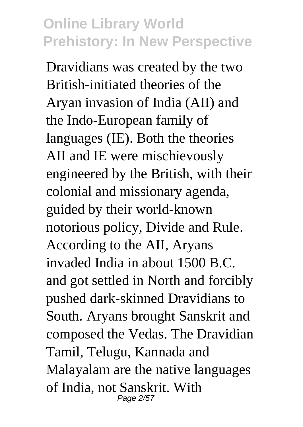Dravidians was created by the two British-initiated theories of the Aryan invasion of India (AII) and the Indo-European family of languages (IE). Both the theories AII and IE were mischievously engineered by the British, with their colonial and missionary agenda, guided by their world-known notorious policy, Divide and Rule. According to the AII, Aryans invaded India in about 1500 B.C. and got settled in North and forcibly pushed dark-skinned Dravidians to South. Aryans brought Sanskrit and composed the Vedas. The Dravidian Tamil, Telugu, Kannada and Malayalam are the native languages of India, not Sanskrit. With Page 2/57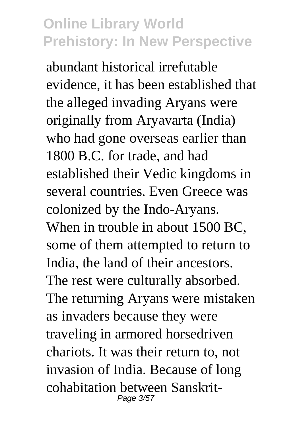abundant historical irrefutable evidence, it has been established that the alleged invading Aryans were originally from Aryavarta (India) who had gone overseas earlier than 1800 B.C. for trade, and had established their Vedic kingdoms in several countries. Even Greece was colonized by the Indo-Aryans. When in trouble in about 1500 BC, some of them attempted to return to India, the land of their ancestors. The rest were culturally absorbed. The returning Aryans were mistaken as invaders because they were traveling in armored horsedriven chariots. It was their return to, not invasion of India. Because of long cohabitation between Sanskrit-Page 3/57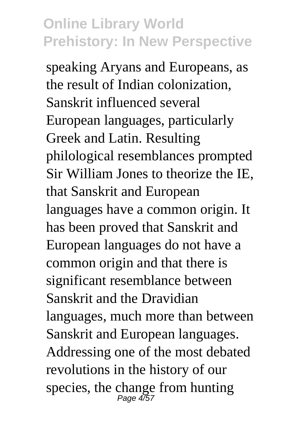speaking Aryans and Europeans, as the result of Indian colonization, Sanskrit influenced several European languages, particularly Greek and Latin. Resulting philological resemblances prompted Sir William Jones to theorize the IE, that Sanskrit and European languages have a common origin. It has been proved that Sanskrit and European languages do not have a common origin and that there is significant resemblance between Sanskrit and the Dravidian languages, much more than between Sanskrit and European languages. Addressing one of the most debated revolutions in the history of our species, the change from hunting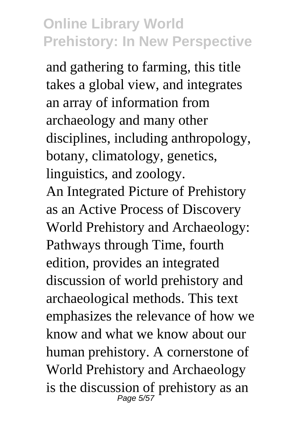and gathering to farming, this title takes a global view, and integrates an array of information from archaeology and many other disciplines, including anthropology, botany, climatology, genetics, linguistics, and zoology. An Integrated Picture of Prehistory

as an Active Process of Discovery World Prehistory and Archaeology: Pathways through Time, fourth edition, provides an integrated discussion of world prehistory and archaeological methods. This text emphasizes the relevance of how we know and what we know about our human prehistory. A cornerstone of World Prehistory and Archaeology is the discussion of prehistory as an  $_{Page 5/57}$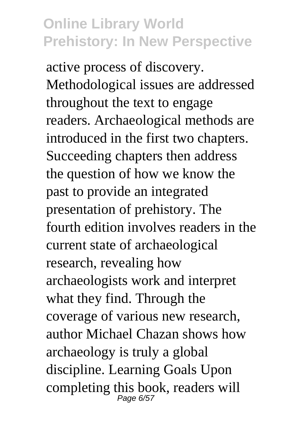active process of discovery. Methodological issues are addressed throughout the text to engage readers. Archaeological methods are introduced in the first two chapters. Succeeding chapters then address the question of how we know the past to provide an integrated presentation of prehistory. The fourth edition involves readers in the current state of archaeological research, revealing how archaeologists work and interpret what they find. Through the coverage of various new research, author Michael Chazan shows how archaeology is truly a global discipline. Learning Goals Upon completing this book, readers will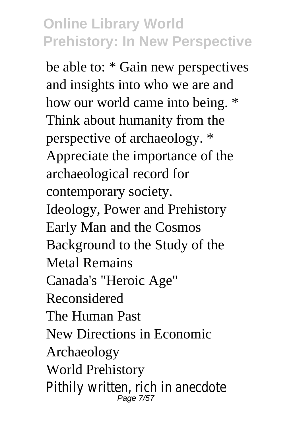be able to: \* Gain new perspectives and insights into who we are and how our world came into being. \* Think about humanity from the perspective of archaeology. \* Appreciate the importance of the archaeological record for contemporary society. Ideology, Power and Prehistory Early Man and the Cosmos Background to the Study of the Metal Remains Canada's "Heroic Age" Reconsidered The Human Past New Directions in Economic Archaeology World Prehistory Pithily written, rich in anecdote Page 7/5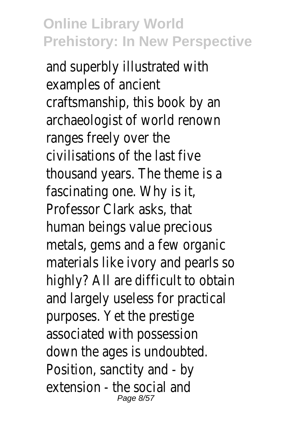and superbly illustrated with examples of ancient craftsmanship, this book by an archaeologist of world renown ranges freely over the civilisations of the last five thousand years. The theme is a fascinating one. Why is it, Professor Clark asks, that human beings value precious metals, gems and a few organic materials like ivory and pearls so highly? All are difficult to obtain and largely useless for practical purposes. Yet the prestige associated with possession down the ages is undoubted. Position, sanctity and - by extension - the social and Page 8/57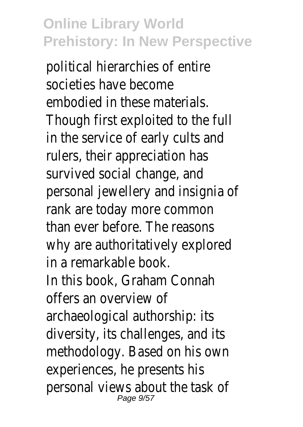political hierarchies of entire societies have become embodied in these materials. Though first exploited to the full in the service of early cults and rulers, their appreciation has survived social change, and personal jewellery and insignia of rank are today more common than ever before. The reasons why are authoritatively explored in a remarkable book. In this book, Graham Connah offers an overview of archaeological authorship: its diversity, its challenges, and its methodology. Based on his own experiences, he presents his personal views about the task of Page 9/57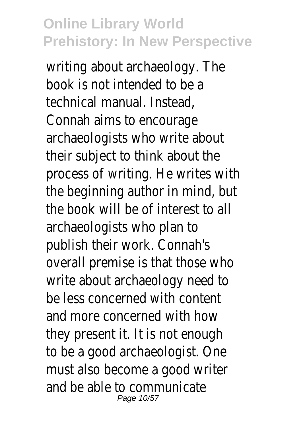writing about archaeology. The book is not intended to be a technical manual. Instead, Connah aims to encourage archaeologists who write about their subject to think about the process of writing. He writes with the beginning author in mind, but the book will be of interest to all archaeologists who plan to publish their work. Connah's overall premise is that those who write about archaeology need to be less concerned with content and more concerned with how they present it. It is not enough to be a good archaeologist. One must also become a good writer and be able to communicate Page 10/57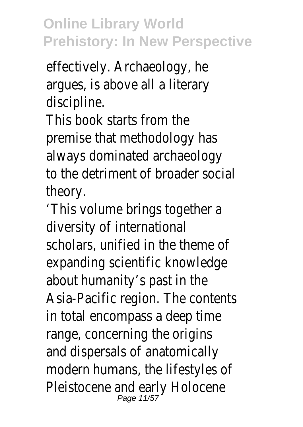effectively. Archaeology, he argues, is above all a literary discipline.

This book starts from the premise that methodology has always dominated archaeology to the detriment of broader social theory.

'This volume brings together a diversity of international scholars, unified in the theme of expanding scientific knowledge about humanity's past in the Asia-Pacific region. The contents in total encompass a deep time range, concerning the origins and dispersals of anatomically modern humans, the lifestyles of Pleistocene and early Holocene Page 11/5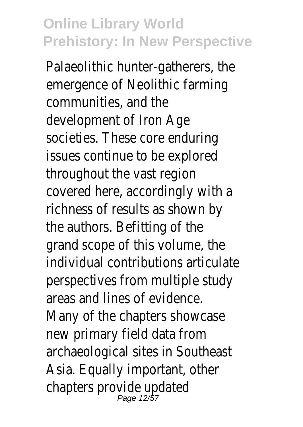Palaeolithic hunter-gatherers, the emergence of Neolithic farming communities, and the development of Iron Age societies. These core enduring issues continue to be explored throughout the vast region covered here, accordingly with a richness of results as shown by the authors. Befitting of the grand scope of this volume, the individual contributions articulate perspectives from multiple study areas and lines of evidence. Many of the chapters showcase new primary field data from archaeological sites in Southeast Asia. Equally important, other chapters provide updated Page 12/57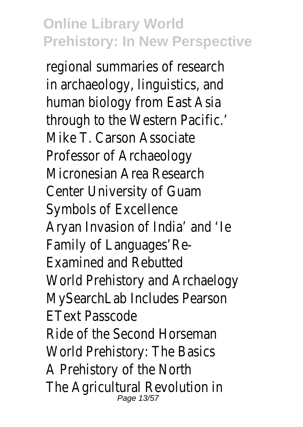regional summaries of research in archaeology, linguistics, and human biology from East Asia through to the Western Pacific.' Mike T. Carson Associate Professor of Archaeology Micronesian Area Research Center University of Guam Symbols of Excellence Aryan Invasion of India' and 'Ie Family of Languages'Re-Examined and Rebutted World Prehistory and Archaelogy MySearchLab Includes Pearson EText Passcode Ride of the Second Horseman World Prehistory: The Basics A Prehistory of the North The Agricultural Revolution in Page 13/57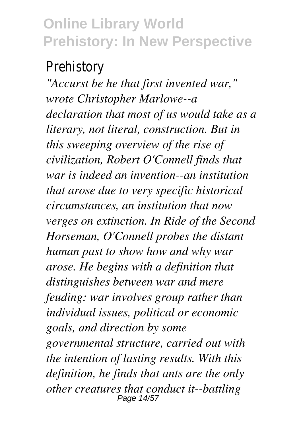#### Prehistory

*"Accurst be he that first invented war," wrote Christopher Marlowe--a declaration that most of us would take as a literary, not literal, construction. But in this sweeping overview of the rise of civilization, Robert O'Connell finds that war is indeed an invention--an institution that arose due to very specific historical circumstances, an institution that now verges on extinction. In Ride of the Second Horseman, O'Connell probes the distant human past to show how and why war arose. He begins with a definition that distinguishes between war and mere feuding: war involves group rather than individual issues, political or economic goals, and direction by some governmental structure, carried out with the intention of lasting results. With this definition, he finds that ants are the only other creatures that conduct it--battling* Page 14/57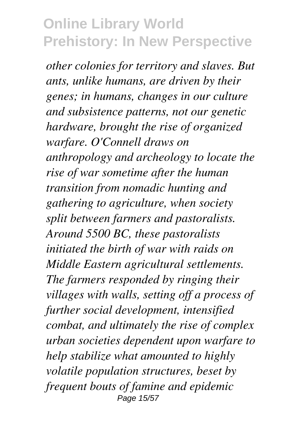*other colonies for territory and slaves. But ants, unlike humans, are driven by their genes; in humans, changes in our culture and subsistence patterns, not our genetic hardware, brought the rise of organized warfare. O'Connell draws on anthropology and archeology to locate the rise of war sometime after the human transition from nomadic hunting and gathering to agriculture, when society split between farmers and pastoralists. Around 5500 BC, these pastoralists initiated the birth of war with raids on Middle Eastern agricultural settlements. The farmers responded by ringing their villages with walls, setting off a process of further social development, intensified combat, and ultimately the rise of complex urban societies dependent upon warfare to help stabilize what amounted to highly volatile population structures, beset by frequent bouts of famine and epidemic* Page 15/57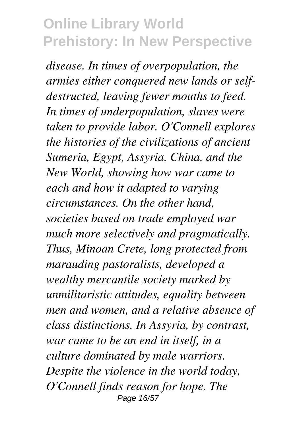*disease. In times of overpopulation, the armies either conquered new lands or selfdestructed, leaving fewer mouths to feed. In times of underpopulation, slaves were taken to provide labor. O'Connell explores the histories of the civilizations of ancient Sumeria, Egypt, Assyria, China, and the New World, showing how war came to each and how it adapted to varying circumstances. On the other hand, societies based on trade employed war much more selectively and pragmatically. Thus, Minoan Crete, long protected from marauding pastoralists, developed a wealthy mercantile society marked by unmilitaristic attitudes, equality between men and women, and a relative absence of class distinctions. In Assyria, by contrast, war came to be an end in itself, in a culture dominated by male warriors. Despite the violence in the world today, O'Connell finds reason for hope. The* Page 16/57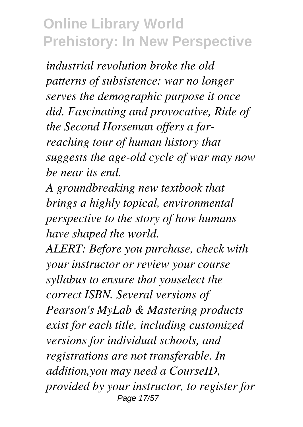*industrial revolution broke the old patterns of subsistence: war no longer serves the demographic purpose it once did. Fascinating and provocative, Ride of the Second Horseman offers a farreaching tour of human history that suggests the age-old cycle of war may now be near its end.*

*A groundbreaking new textbook that brings a highly topical, environmental perspective to the story of how humans have shaped the world.*

*ALERT: Before you purchase, check with your instructor or review your course syllabus to ensure that youselect the correct ISBN. Several versions of Pearson's MyLab & Mastering products exist for each title, including customized versions for individual schools, and registrations are not transferable. In addition,you may need a CourseID, provided by your instructor, to register for* Page 17/57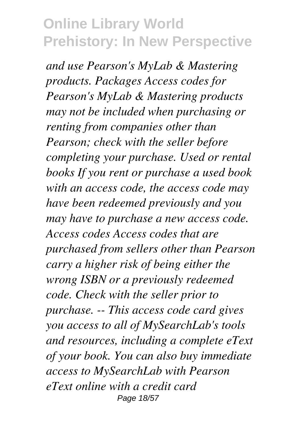*and use Pearson's MyLab & Mastering products. Packages Access codes for Pearson's MyLab & Mastering products may not be included when purchasing or renting from companies other than Pearson; check with the seller before completing your purchase. Used or rental books If you rent or purchase a used book with an access code, the access code may have been redeemed previously and you may have to purchase a new access code. Access codes Access codes that are purchased from sellers other than Pearson carry a higher risk of being either the wrong ISBN or a previously redeemed code. Check with the seller prior to purchase. -- This access code card gives you access to all of MySearchLab's tools and resources, including a complete eText of your book. You can also buy immediate access to MySearchLab with Pearson eText online with a credit card* Page 18/57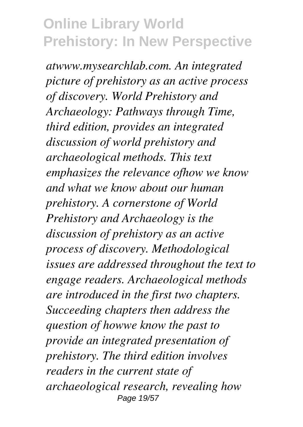*atwww.mysearchlab.com. An integrated picture of prehistory as an active process of discovery. World Prehistory and Archaeology: Pathways through Time, third edition, provides an integrated discussion of world prehistory and archaeological methods. This text emphasizes the relevance ofhow we know and what we know about our human prehistory. A cornerstone of World Prehistory and Archaeology is the discussion of prehistory as an active process of discovery. Methodological issues are addressed throughout the text to engage readers. Archaeological methods are introduced in the first two chapters. Succeeding chapters then address the question of howwe know the past to provide an integrated presentation of prehistory. The third edition involves readers in the current state of archaeological research, revealing how* Page 19/57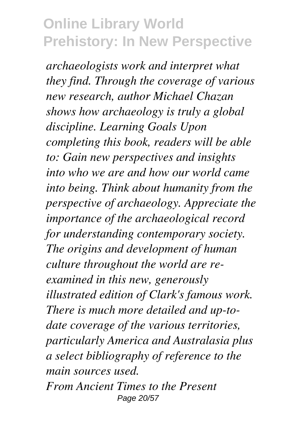*archaeologists work and interpret what they find. Through the coverage of various new research, author Michael Chazan shows how archaeology is truly a global discipline. Learning Goals Upon completing this book, readers will be able to: Gain new perspectives and insights into who we are and how our world came into being. Think about humanity from the perspective of archaeology. Appreciate the importance of the archaeological record for understanding contemporary society. The origins and development of human culture throughout the world are reexamined in this new, generously illustrated edition of Clark's famous work. There is much more detailed and up-todate coverage of the various territories, particularly America and Australasia plus a select bibliography of reference to the main sources used. From Ancient Times to the Present* Page 20/57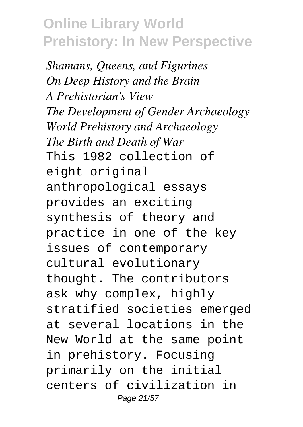*Shamans, Queens, and Figurines On Deep History and the Brain A Prehistorian's View The Development of Gender Archaeology World Prehistory and Archaeology The Birth and Death of War* This 1982 collection of eight original anthropological essays provides an exciting synthesis of theory and practice in one of the key issues of contemporary cultural evolutionary thought. The contributors ask why complex, highly stratified societies emerged at several locations in the New World at the same point in prehistory. Focusing primarily on the initial centers of civilization in Page 21/57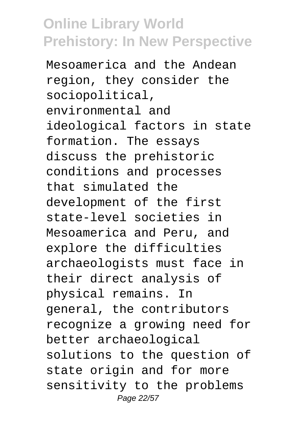Mesoamerica and the Andean region, they consider the sociopolitical, environmental and ideological factors in state formation. The essays discuss the prehistoric conditions and processes that simulated the development of the first state-level societies in Mesoamerica and Peru, and explore the difficulties archaeologists must face in their direct analysis of physical remains. In general, the contributors recognize a growing need for better archaeological solutions to the question of state origin and for more sensitivity to the problems Page 22/57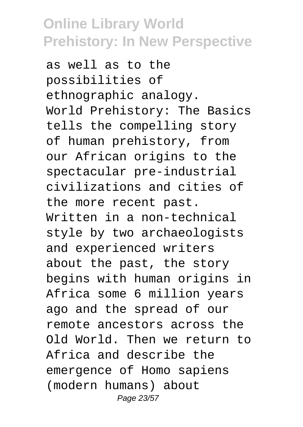as well as to the possibilities of ethnographic analogy. World Prehistory: The Basics tells the compelling story of human prehistory, from our African origins to the spectacular pre-industrial civilizations and cities of the more recent past. Written in a non-technical style by two archaeologists and experienced writers about the past, the story begins with human origins in Africa some 6 million years ago and the spread of our remote ancestors across the Old World. Then we return to Africa and describe the emergence of Homo sapiens (modern humans) about Page 23/57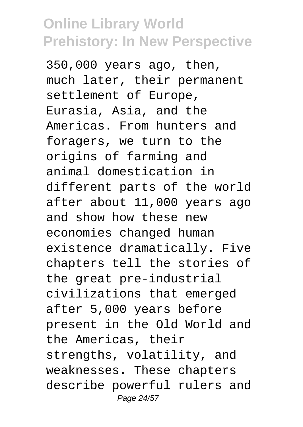350,000 years ago, then, much later, their permanent settlement of Europe, Eurasia, Asia, and the Americas. From hunters and foragers, we turn to the origins of farming and animal domestication in different parts of the world after about 11,000 years ago and show how these new economies changed human existence dramatically. Five chapters tell the stories of the great pre-industrial civilizations that emerged after 5,000 years before present in the Old World and the Americas, their strengths, volatility, and weaknesses. These chapters describe powerful rulers and Page 24/57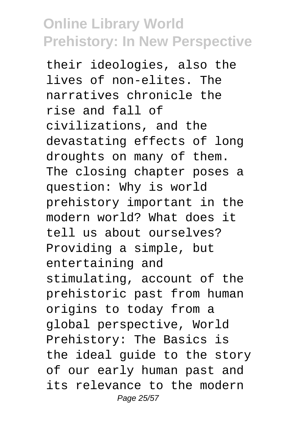their ideologies, also the lives of non-elites. The narratives chronicle the rise and fall of civilizations, and the devastating effects of long droughts on many of them. The closing chapter poses a question: Why is world prehistory important in the modern world? What does it tell us about ourselves? Providing a simple, but entertaining and stimulating, account of the prehistoric past from human origins to today from a global perspective, World Prehistory: The Basics is the ideal guide to the story of our early human past and its relevance to the modern Page 25/57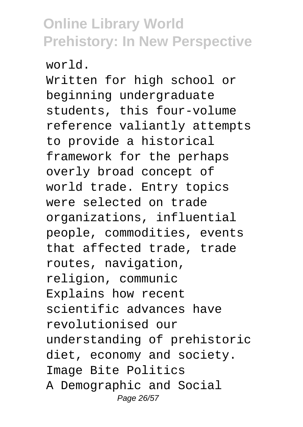world.

Written for high school or beginning undergraduate students, this four-volume reference valiantly attempts to provide a historical framework for the perhaps overly broad concept of world trade. Entry topics were selected on trade organizations, influential people, commodities, events that affected trade, trade routes, navigation, religion, communic Explains how recent scientific advances have revolutionised our understanding of prehistoric diet, economy and society. Image Bite Politics A Demographic and Social Page 26/57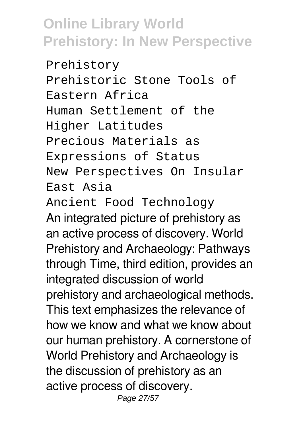Prehistory Prehistoric Stone Tools of Eastern Africa Human Settlement of the Higher Latitudes Precious Materials as Expressions of Status New Perspectives On Insular East Asia Ancient Food Technology An integrated picture of prehistory as an active process of discovery. World Prehistory and Archaeology: Pathways through Time, third edition, provides an integrated discussion of world

prehistory and archaeological methods. This text emphasizes the relevance of how we know and what we know about our human prehistory. A cornerstone of World Prehistory and Archaeology is the discussion of prehistory as an active process of discovery. Page 27/57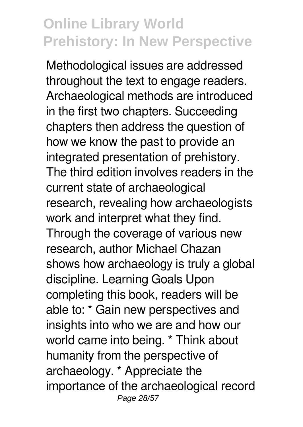Methodological issues are addressed throughout the text to engage readers. Archaeological methods are introduced in the first two chapters. Succeeding chapters then address the question of how we know the past to provide an integrated presentation of prehistory. The third edition involves readers in the current state of archaeological research, revealing how archaeologists work and interpret what they find. Through the coverage of various new research, author Michael Chazan shows how archaeology is truly a global discipline. Learning Goals Upon completing this book, readers will be able to: \* Gain new perspectives and insights into who we are and how our world came into being. \* Think about humanity from the perspective of archaeology. \* Appreciate the importance of the archaeological record Page 28/57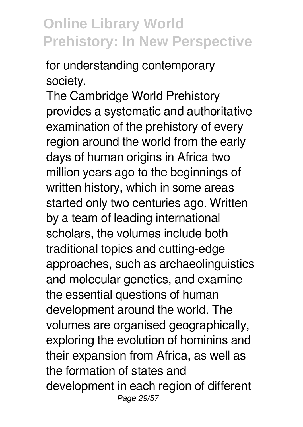for understanding contemporary society.

The Cambridge World Prehistory provides a systematic and authoritative examination of the prehistory of every region around the world from the early days of human origins in Africa two million years ago to the beginnings of written history, which in some areas started only two centuries ago. Written by a team of leading international scholars, the volumes include both traditional topics and cutting-edge approaches, such as archaeolinguistics and molecular genetics, and examine the essential questions of human development around the world. The volumes are organised geographically, exploring the evolution of hominins and their expansion from Africa, as well as the formation of states and development in each region of different Page 29/57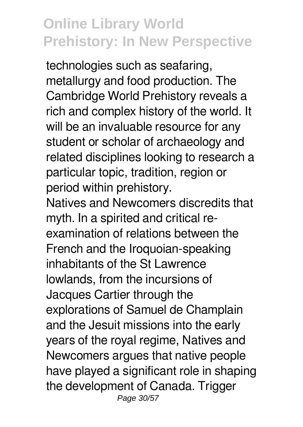technologies such as seafaring, metallurgy and food production. The Cambridge World Prehistory reveals a rich and complex history of the world. It will be an invaluable resource for any student or scholar of archaeology and related disciplines looking to research a particular topic, tradition, region or period within prehistory.

Natives and Newcomers discredits that myth. In a spirited and critical reexamination of relations between the French and the Iroquoian-speaking inhabitants of the St Lawrence lowlands, from the incursions of Jacques Cartier through the explorations of Samuel de Champlain and the Jesuit missions into the early years of the royal regime, Natives and Newcomers argues that native people have played a significant role in shaping the development of Canada. Trigger Page 30/57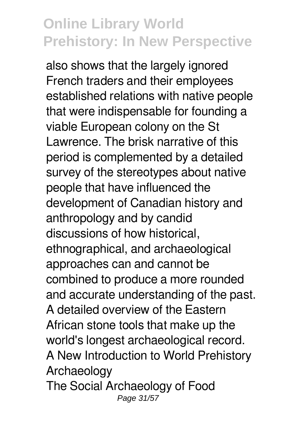also shows that the largely ignored French traders and their employees established relations with native people that were indispensable for founding a viable European colony on the St Lawrence. The brisk narrative of this period is complemented by a detailed survey of the stereotypes about native people that have influenced the development of Canadian history and anthropology and by candid discussions of how historical, ethnographical, and archaeological approaches can and cannot be combined to produce a more rounded and accurate understanding of the past. A detailed overview of the Eastern African stone tools that make up the world's longest archaeological record. A New Introduction to World Prehistory Archaeology The Social Archaeology of Food Page 31/57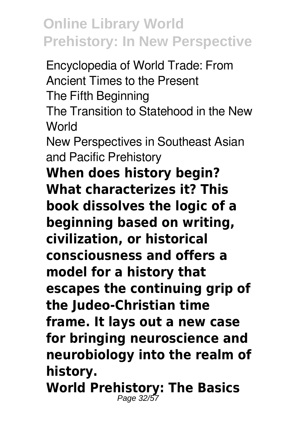Encyclopedia of World Trade: From Ancient Times to the Present The Fifth Beginning The Transition to Statehood in the New **World** New Perspectives in Southeast Asian and Pacific Prehistory **When does history begin? What characterizes it? This book dissolves the logic of a beginning based on writing, civilization, or historical consciousness and offers a model for a history that escapes the continuing grip of the Judeo-Christian time frame. It lays out a new case for bringing neuroscience and neurobiology into the realm of history.**

**World Prehistory: The Basics** Page 32/57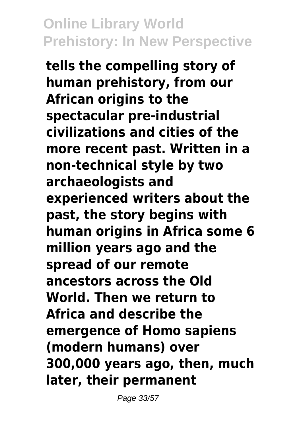**tells the compelling story of human prehistory, from our African origins to the spectacular pre-industrial civilizations and cities of the more recent past. Written in a non-technical style by two archaeologists and experienced writers about the past, the story begins with human origins in Africa some 6 million years ago and the spread of our remote ancestors across the Old World. Then we return to Africa and describe the emergence of Homo sapiens (modern humans) over 300,000 years ago, then, much later, their permanent**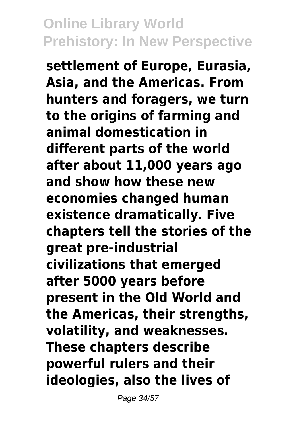**settlement of Europe, Eurasia, Asia, and the Americas. From hunters and foragers, we turn to the origins of farming and animal domestication in different parts of the world after about 11,000 years ago and show how these new economies changed human existence dramatically. Five chapters tell the stories of the great pre-industrial civilizations that emerged after 5000 years before present in the Old World and the Americas, their strengths, volatility, and weaknesses. These chapters describe powerful rulers and their ideologies, also the lives of**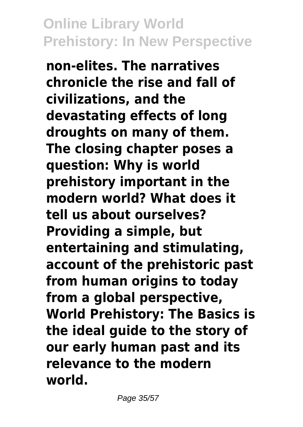**non-elites. The narratives chronicle the rise and fall of civilizations, and the devastating effects of long droughts on many of them. The closing chapter poses a question: Why is world prehistory important in the modern world? What does it tell us about ourselves? Providing a simple, but entertaining and stimulating, account of the prehistoric past from human origins to today from a global perspective, World Prehistory: The Basics is the ideal guide to the story of our early human past and its relevance to the modern world.**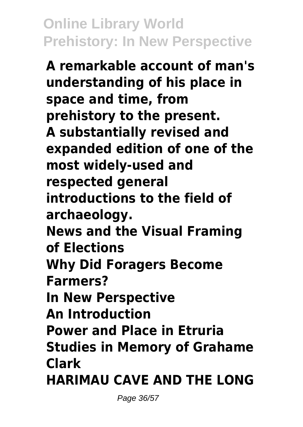**A remarkable account of man's understanding of his place in space and time, from prehistory to the present. A substantially revised and expanded edition of one of the most widely-used and respected general introductions to the field of archaeology. News and the Visual Framing of Elections Why Did Foragers Become Farmers? In New Perspective An Introduction Power and Place in Etruria Studies in Memory of Grahame Clark HARIMAU CAVE AND THE LONG**

Page 36/57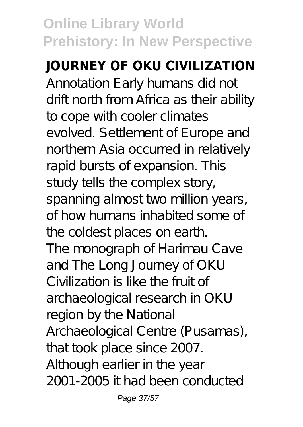# **JOURNEY OF OKU CIVILIZATION**

Annotation Early humans did not drift north from Africa as their ability to cope with cooler climates evolved. Settlement of Europe and northern Asia occurred in relatively rapid bursts of expansion. This study tells the complex story, spanning almost two million years, of how humans inhabited some of the coldest places on earth. The monograph of Harimau Cave and The Long Journey of OKU Civilization is like the fruit of archaeological research in OKU region by the National Archaeological Centre (Pusamas), that took place since 2007. Although earlier in the year 2001-2005 it had been conducted

Page 37/57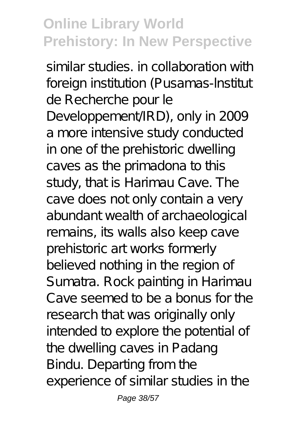similar studies in collaboration with foreign institution (Pusamas-Institut de Recherche pour le Developpement/IRD), only in 2009 a more intensive study conducted in one of the prehistoric dwelling caves as the primadona to this study, that is Harimau Cave. The cave does not only contain a very abundant wealth of archaeological remains, its walls also keep cave prehistoric art works formerly believed nothing in the region of Sumatra. Rock painting in Harimau Cave seemed to be a bonus for the research that was originally only intended to explore the potential of the dwelling caves in Padang Bindu. Departing from the experience of similar studies in the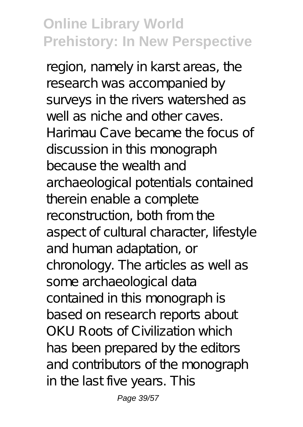region, namely in karst areas, the research was accompanied by surveys in the rivers watershed as well as niche and other caves. Harimau Cave became the focus of discussion in this monograph because the wealth and archaeological potentials contained therein enable a complete reconstruction, both from the aspect of cultural character, lifestyle and human adaptation, or chronology. The articles as well as some archaeological data contained in this monograph is based on research reports about OKU Roots of Civilization which has been prepared by the editors and contributors of the monograph in the last five years. This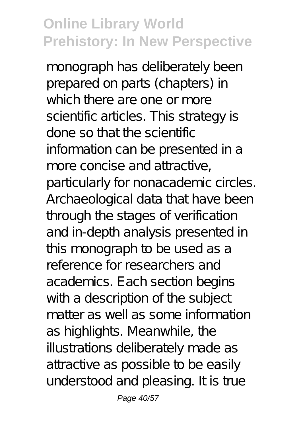monograph has deliberately been prepared on parts (chapters) in which there are one or more scientific articles. This strategy is done so that the scientific information can be presented in a more concise and attractive. particularly for nonacademic circles. Archaeological data that have been through the stages of verification and in-depth analysis presented in this monograph to be used as a reference for researchers and academics. Each section begins with a description of the subject matter as well as some information as highlights. Meanwhile, the illustrations deliberately made as attractive as possible to be easily understood and pleasing. It is true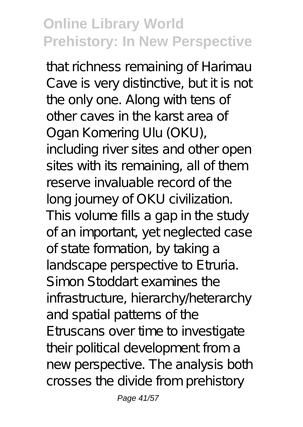that richness remaining of Harimau Cave is very distinctive, but it is not the only one. Along with tens of other caves in the karst area of Ogan Komering Ulu (OKU), including river sites and other open sites with its remaining, all of them reserve invaluable record of the long journey of OKU civilization. This volume fills a gap in the study of an important, yet neglected case of state formation, by taking a landscape perspective to E truria. Simon Stoddart examines the infrastructure, hierarchy/heterarchy and spatial patterns of the Etruscans over time to investigate their political development from a new perspective. The analysis both crosses the divide from prehistory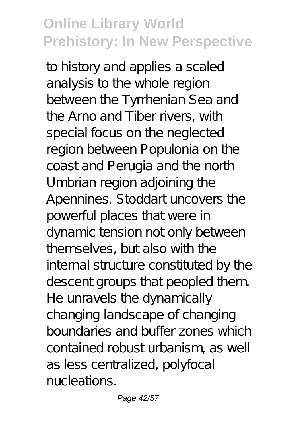to history and applies a scaled analysis to the whole region between the Tyrrhenian Sea and the Arno and Tiber rivers, with special focus on the neglected region between Populonia on the coast and Perugia and the north Umbrian region adjoining the Apennines. Stoddart uncovers the powerful places that were in dynamic tension not only between themselves, but also with the internal structure constituted by the descent groups that peopled them. He unravels the dynamically changing landscape of changing boundaries and buffer zones which contained robust urbanism, as well as less centralized, polyfocal nucleations.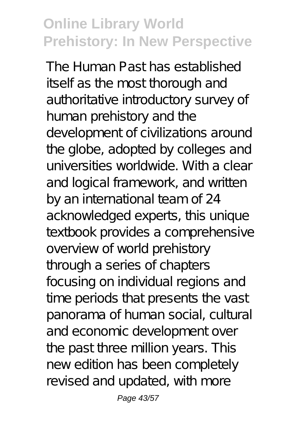The Human Past has established itself as the most thorough and authoritative introductory survey of human prehistory and the development of civilizations around the globe, adopted by colleges and universities worldwide. With a clear and logical framework, and written by an international team of 24 acknowledged experts, this unique textbook provides a comprehensive overview of world prehistory through a series of chapters focusing on individual regions and time periods that presents the vast panorama of human social, cultural and economic development over the past three million years. This new edition has been completely revised and updated, with more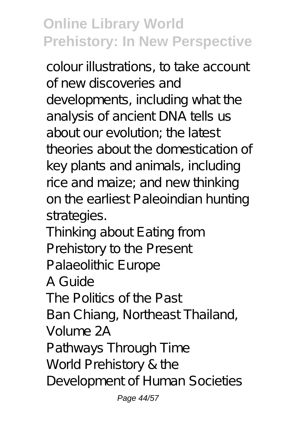colour illustrations, to take account of new discoveries and developments, including what the analysis of ancient DNA tells us about our evolution; the latest theories about the domestication of key plants and animals, including rice and maize; and new thinking on the earliest Paleoindian hunting strategies.

Thinking about Eating from Prehistory to the Present Palaeolithic Europe A Guide The Politics of the Past

Ban Chiang, Northeast Thailand,

Volume 2A

Pathways Through Time

World Prehistory & the

Development of Human Societies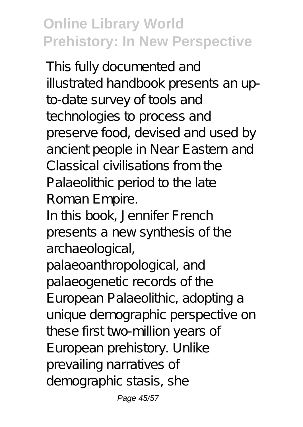This fully documented and illustrated handbook presents an upto-date survey of tools and technologies to process and preserve food, devised and used by ancient people in Near Eastern and Classical civilisations from the Palaeolithic period to the late Roman Empire.

In this book, Jennifer French presents a new synthesis of the archaeological,

palaeoanthropological, and palaeogenetic records of the European Palaeolithic, adopting a unique demographic perspective on these first two-million years of European prehistory. Unlike prevailing narratives of demographic stasis, she

Page 45/57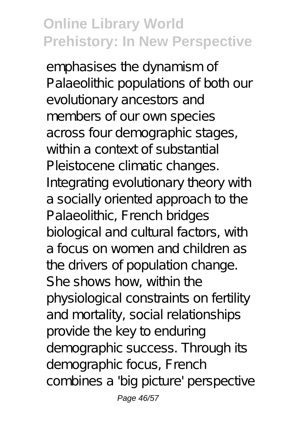emphasises the dynamism of Palaeolithic populations of both our evolutionary ancestors and members of our own species across four demographic stages, within a context of substantial Pleistocene climatic changes. Integrating evolutionary theory with a socially oriented approach to the Palaeolithic, French bridges biological and cultural factors, with a focus on women and children as the drivers of population change. She shows how, within the physiological constraints on fertility and mortality, social relationships provide the key to enduring demographic success. Through its demographic focus, French combines a 'big picture' perspective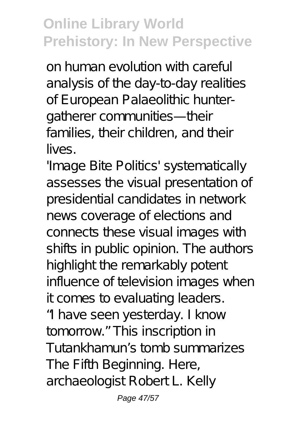on human evolution with careful analysis of the day-to-day realities of European Palaeolithic huntergatherer communities—their families, their children, and their lives.

'Image Bite Politics' systematically assesses the visual presentation of presidential candidates in network news coverage of elections and connects these visual images with shifts in public opinion. The authors highlight the remarkably potent influence of television images when it comes to evaluating leaders. "I have seen yesterday. I know tomorrow." This inscription in Tutankhamun's tomb summarizes The Fifth Beginning. Here, archaeologist Robert L. Kelly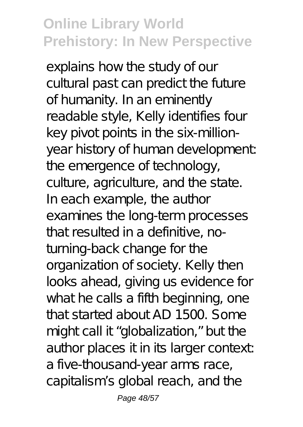explains how the study of our cultural past can predict the future of humanity. In an eminently readable style, Kelly identifies four key pivot points in the six-millionyear history of human development: the emergence of technology, culture, agriculture, and the state. In each example, the author examines the long-term processes that resulted in a definitive, noturning-back change for the organization of society. Kelly then looks ahead, giving us evidence for what he calls a fifth beginning, one that started about AD 1500. Some might call it "globalization," but the author places it in its larger context a five-thousand-year arms race, capitalism's global reach, and the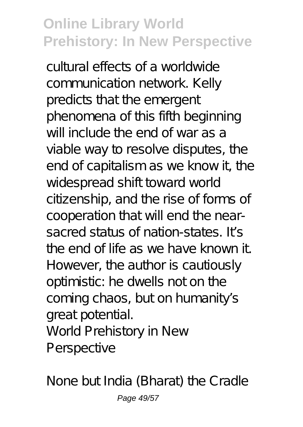cultural effects of a worldwide communication network. Kelly predicts that the emergent phenomena of this fifth beginning will include the end of war as a viable way to resolve disputes, the end of capitalism as we know it, the widespread shift toward world citizenship, and the rise of forms of cooperation that will end the nearsacred status of nation-states. It's the end of life as we have known it. However, the author is cautiously optimistic: he dwells not on the coming chaos, but on humanity's great potential. World Prehistory in New Perspective

None but India (Bharat) the Cradle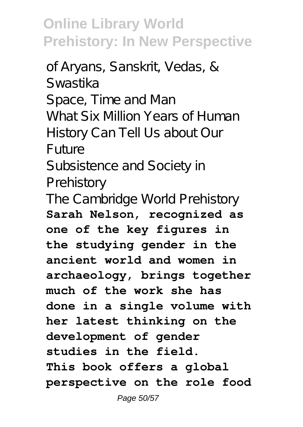of Aryans, Sanskrit, Vedas, & Swastika Space, Time and Man What Six Million Years of Human History Can Tell Us about Our Future Subsistence and Society in Prehistory The Cambridge World Prehistory **Sarah Nelson, recognized as one of the key figures in the studying gender in the ancient world and women in archaeology, brings together much of the work she has done in a single volume with her latest thinking on the development of gender studies in the field. This book offers a global perspective on the role food**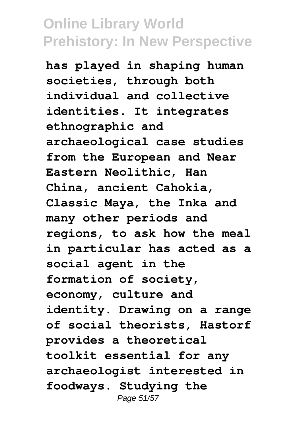**has played in shaping human societies, through both individual and collective identities. It integrates ethnographic and archaeological case studies from the European and Near Eastern Neolithic, Han China, ancient Cahokia, Classic Maya, the Inka and many other periods and regions, to ask how the meal in particular has acted as a social agent in the formation of society, economy, culture and identity. Drawing on a range of social theorists, Hastorf provides a theoretical toolkit essential for any archaeologist interested in foodways. Studying the** Page 51/57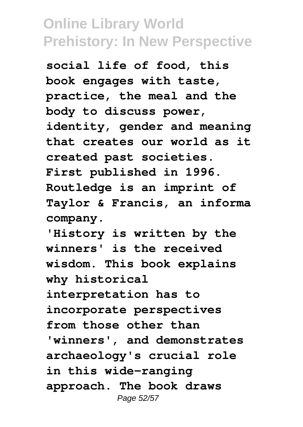**social life of food, this book engages with taste, practice, the meal and the body to discuss power, identity, gender and meaning that creates our world as it created past societies. First published in 1996. Routledge is an imprint of Taylor & Francis, an informa company.**

**'History is written by the winners' is the received wisdom. This book explains why historical interpretation has to incorporate perspectives from those other than 'winners', and demonstrates archaeology's crucial role in this wide-ranging approach. The book draws** Page 52/57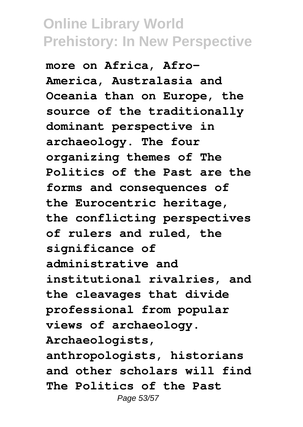**more on Africa, Afro-America, Australasia and Oceania than on Europe, the source of the traditionally dominant perspective in archaeology. The four organizing themes of The Politics of the Past are the forms and consequences of the Eurocentric heritage, the conflicting perspectives of rulers and ruled, the significance of administrative and institutional rivalries, and the cleavages that divide professional from popular views of archaeology. Archaeologists, anthropologists, historians and other scholars will find The Politics of the Past** Page 53/57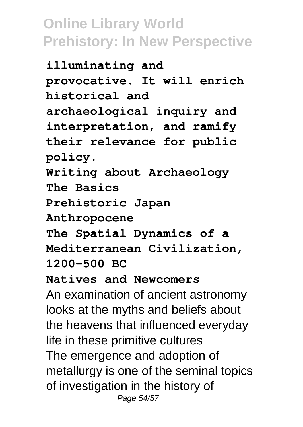**illuminating and provocative. It will enrich historical and archaeological inquiry and interpretation, and ramify their relevance for public policy. Writing about Archaeology The Basics Prehistoric Japan Anthropocene The Spatial Dynamics of a Mediterranean Civilization, 1200–500 BC Natives and Newcomers** An examination of ancient astronomy looks at the myths and beliefs about the heavens that influenced everyday life in these primitive cultures The emergence and adoption of metallurgy is one of the seminal topics of investigation in the history of Page 54/57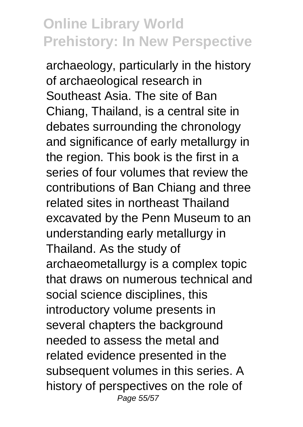archaeology, particularly in the history of archaeological research in Southeast Asia. The site of Ban Chiang, Thailand, is a central site in debates surrounding the chronology and significance of early metallurgy in the region. This book is the first in a series of four volumes that review the contributions of Ban Chiang and three related sites in northeast Thailand excavated by the Penn Museum to an understanding early metallurgy in Thailand. As the study of archaeometallurgy is a complex topic that draws on numerous technical and social science disciplines, this introductory volume presents in several chapters the background needed to assess the metal and related evidence presented in the subsequent volumes in this series. A history of perspectives on the role of Page 55/57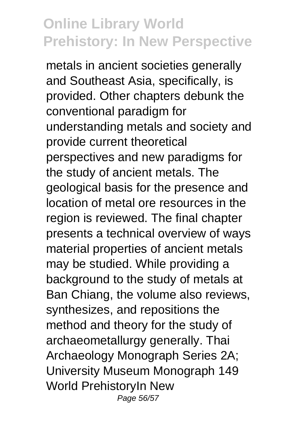metals in ancient societies generally and Southeast Asia, specifically, is provided. Other chapters debunk the conventional paradigm for understanding metals and society and provide current theoretical perspectives and new paradigms for the study of ancient metals. The geological basis for the presence and location of metal ore resources in the region is reviewed. The final chapter presents a technical overview of ways material properties of ancient metals may be studied. While providing a background to the study of metals at Ban Chiang, the volume also reviews, synthesizes, and repositions the method and theory for the study of archaeometallurgy generally. Thai Archaeology Monograph Series 2A; University Museum Monograph 149 World PrehistoryIn New Page 56/57